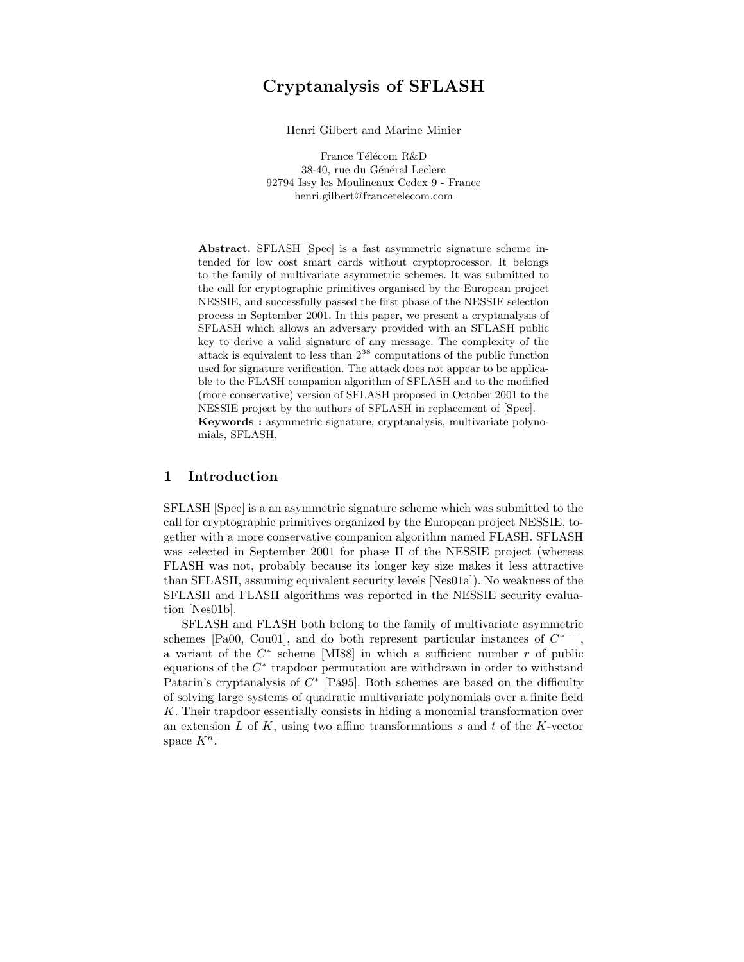# Cryptanalysis of SFLASH

Henri Gilbert and Marine Minier

France Télécom R&D 38-40, rue du Général Leclerc 92794 Issy les Moulineaux Cedex 9 - France henri.gilbert@francetelecom.com

Abstract. SFLASH [Spec] is a fast asymmetric signature scheme intended for low cost smart cards without cryptoprocessor. It belongs to the family of multivariate asymmetric schemes. It was submitted to the call for cryptographic primitives organised by the European project NESSIE, and successfully passed the first phase of the NESSIE selection process in September 2001. In this paper, we present a cryptanalysis of SFLASH which allows an adversary provided with an SFLASH public key to derive a valid signature of any message. The complexity of the attack is equivalent to less than  $2^{38}$  computations of the public function used for signature verification. The attack does not appear to be applicable to the FLASH companion algorithm of SFLASH and to the modified (more conservative) version of SFLASH proposed in October 2001 to the NESSIE project by the authors of SFLASH in replacement of [Spec]. Keywords : asymmetric signature, cryptanalysis, multivariate polynomials, SFLASH.

## 1 Introduction

SFLASH [Spec] is a an asymmetric signature scheme which was submitted to the call for cryptographic primitives organized by the European project NESSIE, together with a more conservative companion algorithm named FLASH. SFLASH was selected in September 2001 for phase II of the NESSIE project (whereas FLASH was not, probably because its longer key size makes it less attractive than SFLASH, assuming equivalent security levels [Nes01a]). No weakness of the SFLASH and FLASH algorithms was reported in the NESSIE security evaluation [Nes01b].

SFLASH and FLASH both belong to the family of multivariate asymmetric schemes [Pa00, Cou01], and do both represent particular instances of  $C^{*--}$ , a variant of the  $C^*$  scheme [MI88] in which a sufficient number  $r$  of public equations of the  $C^*$  trapdoor permutation are withdrawn in order to withstand Patarin's cryptanalysis of  $C^*$  [Pa95]. Both schemes are based on the difficulty of solving large systems of quadratic multivariate polynomials over a finite field K. Their trapdoor essentially consists in hiding a monomial transformation over an extension  $L$  of  $K$ , using two affine transformations  $s$  and  $t$  of the  $K$ -vector space  $K^n$ .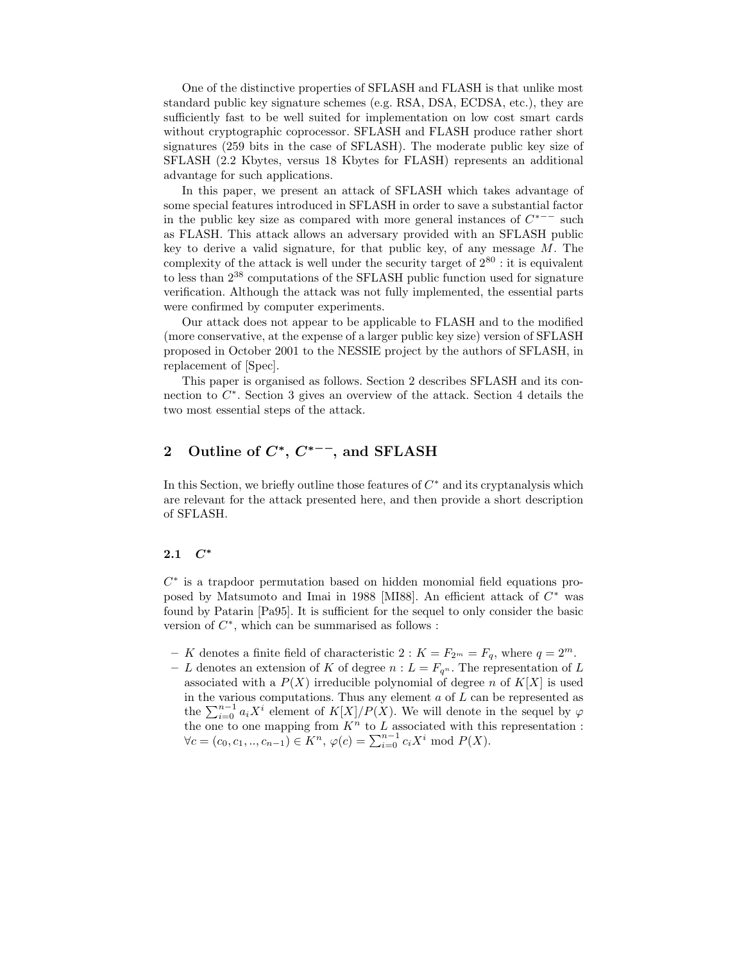One of the distinctive properties of SFLASH and FLASH is that unlike most standard public key signature schemes (e.g. RSA, DSA, ECDSA, etc.), they are sufficiently fast to be well suited for implementation on low cost smart cards without cryptographic coprocessor. SFLASH and FLASH produce rather short signatures (259 bits in the case of SFLASH). The moderate public key size of SFLASH (2.2 Kbytes, versus 18 Kbytes for FLASH) represents an additional advantage for such applications.

In this paper, we present an attack of SFLASH which takes advantage of some special features introduced in SFLASH in order to save a substantial factor in the public key size as compared with more general instances of  $C^{*--}$  such as FLASH. This attack allows an adversary provided with an SFLASH public key to derive a valid signature, for that public key, of any message  $M$ . The complexity of the attack is well under the security target of  $2^{80}$  : it is equivalent to less than 2 <sup>38</sup> computations of the SFLASH public function used for signature verification. Although the attack was not fully implemented, the essential parts were confirmed by computer experiments.

Our attack does not appear to be applicable to FLASH and to the modified (more conservative, at the expense of a larger public key size) version of SFLASH proposed in October 2001 to the NESSIE project by the authors of SFLASH, in replacement of [Spec].

This paper is organised as follows. Section 2 describes SFLASH and its connection to  $C^*$ . Section 3 gives an overview of the attack. Section 4 details the two most essential steps of the attack.

## 2 Outline of  $C^*$ ,  $C^{*--}$ , and SFLASH

In this Section, we briefly outline those features of  $C^*$  and its cryptanalysis which are relevant for the attack presented here, and then provide a short description of SFLASH.

## 2.1 C<sup>∗</sup>

 $C^*$  is a trapdoor permutation based on hidden monomial field equations proposed by Matsumoto and Imai in 1988 [MI88]. An efficient attack of  $C^*$  was found by Patarin [Pa95]. It is sufficient for the sequel to only consider the basic version of  $C^*$ , which can be summarised as follows :

- K denotes a finite field of characteristic 2 :  $K = F_{2^m} = F_q$ , where  $q = 2^m$ .
- L denotes an extension of K of degree  $n : L = F_{q^n}$ . The representation of L associated with a  $P(X)$  irreducible polynomial of degree n of  $K[X]$  is used in the various computations. Thus any element  $a$  of  $L$  can be represented as the  $\sum_{i=0}^{n-1} a_i X^i$  element of  $K[X]/P(X)$ . We will denote in the sequel by  $\varphi$ the one to one mapping from  $K^n$  to  $L$  associated with this representation :  $\forall c = (c_0, c_1, ..., c_{n-1}) \in K^n$ ,  $\varphi(c) = \sum_{i=0}^{n-1} c_i X^i \mod P(X)$ .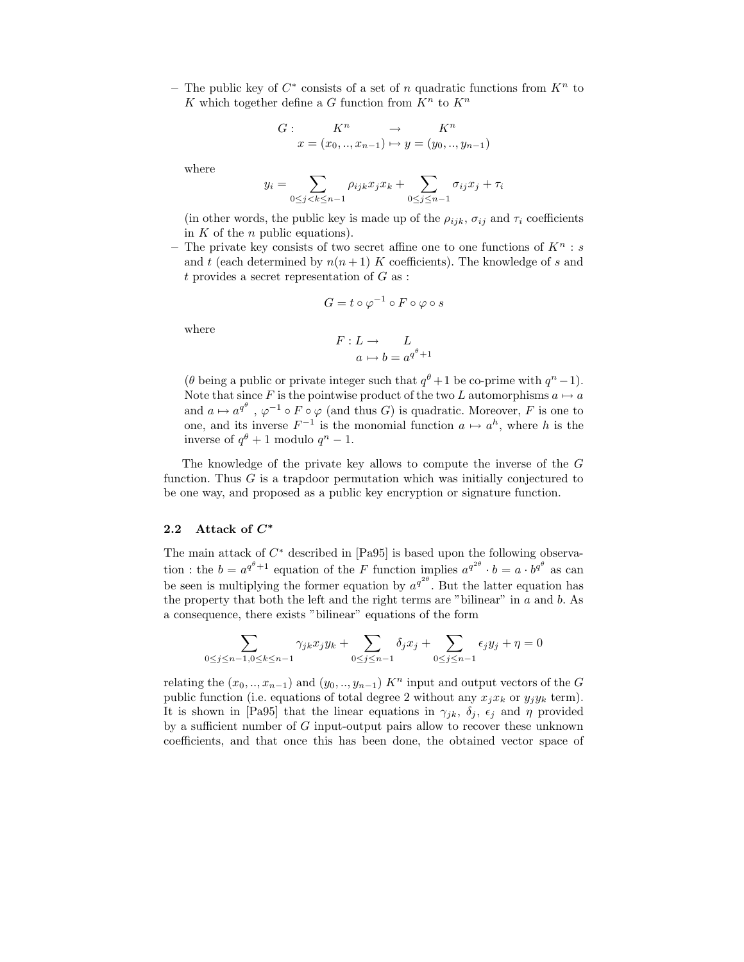− The public key of  $C^*$  consists of a set of n quadratic functions from  $K^n$  to K which together define a G function from  $K^n$  to  $K^n$ 

$$
G: \tK^n \to K^n
$$
  

$$
x = (x_0, ..., x_{n-1}) \mapsto y = (y_0, ..., y_{n-1})
$$

where

$$
y_i = \sum_{0 \le j < k \le n-1} \rho_{ijk} x_j x_k + \sum_{0 \le j \le n-1} \sigma_{ij} x_j + \tau_i
$$

(in other words, the public key is made up of the  $\rho_{ijk}$ ,  $\sigma_{ij}$  and  $\tau_i$  coefficients in  $K$  of the  $n$  public equations).

– The private key consists of two secret affine one to one functions of  $K^n$ : and t (each determined by  $n(n+1)$  K coefficients). The knowledge of s and t provides a secret representation of  $G$  as :

$$
G=t\circ\varphi^{-1}\circ F\circ\varphi\circ s
$$

where

$$
F: L \to L
$$

$$
a \mapsto b = a^{q^{\theta}+1}
$$

( $\theta$  being a public or private integer such that  $q^{\theta} + 1$  be co-prime with  $q^{n} - 1$ ). Note that since F is the pointwise product of the two L automorphisms  $a \mapsto a$ and  $a \mapsto a^{q^{\theta}}$ ,  $\varphi^{-1} \circ F \circ \varphi$  (and thus G) is quadratic. Moreover, F is one to one, and its inverse  $F^{-1}$  is the monomial function  $a \mapsto a^h$ , where h is the inverse of  $q^{\theta} + 1$  modulo  $q^n - 1$ .

The knowledge of the private key allows to compute the inverse of the G function. Thus G is a trapdoor permutation which was initially conjectured to be one way, and proposed as a public key encryption or signature function.

### 2.2 Attack of  $C^*$

The main attack of  $C^*$  described in [Pa95] is based upon the following observation : the  $b = a^{q^{\theta}+1}$  equation of the F function implies  $a^{q^{2\theta}} \cdot b = a \cdot b^{q^{\theta}}$  as can be seen is multiplying the former equation by  $a^{q^{2\theta}}$ . But the latter equation has the property that both the left and the right terms are "bilinear" in  $a$  and  $b$ . As a consequence, there exists "bilinear" equations of the form

$$
\sum_{0 \le j \le n-1, 0 \le k \le n-1} \gamma_{jk} x_j y_k + \sum_{0 \le j \le n-1} \delta_j x_j + \sum_{0 \le j \le n-1} \epsilon_j y_j + \eta = 0
$$

relating the  $(x_0, \ldots, x_{n-1})$  and  $(y_0, \ldots, y_{n-1})$  K<sup>n</sup> input and output vectors of the G public function (i.e. equations of total degree 2 without any  $x_jx_k$  or  $y_jy_k$  term). It is shown in [Pa95] that the linear equations in  $\gamma_{jk}$ ,  $\delta_j$ ,  $\epsilon_j$  and  $\eta$  provided by a sufficient number of  $G$  input-output pairs allow to recover these unknown coefficients, and that once this has been done, the obtained vector space of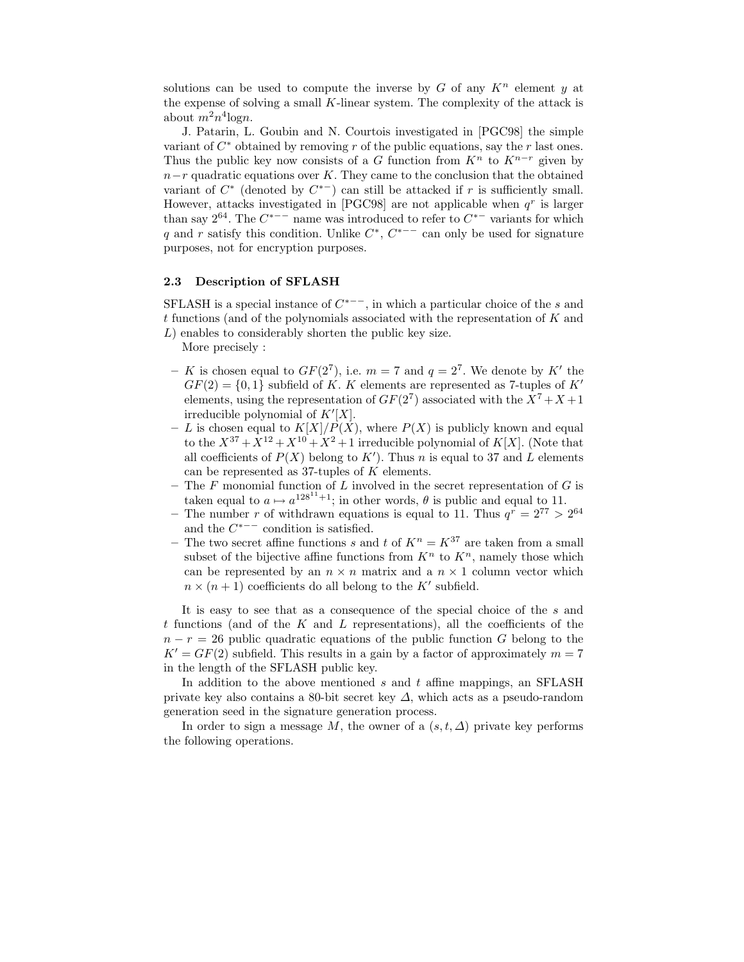solutions can be used to compute the inverse by  $G$  of any  $K<sup>n</sup>$  element  $y$  at the expense of solving a small K-linear system. The complexity of the attack is about  $m^2n^4$ logn.

J. Patarin, L. Goubin and N. Courtois investigated in [PGC98] the simple variant of  $C^*$  obtained by removing r of the public equations, say the r last ones. Thus the public key now consists of a G function from  $K<sup>n</sup>$  to  $K<sup>n-r</sup>$  given by  $n-r$  quadratic equations over K. They came to the conclusion that the obtained variant of  $C^*$  (denoted by  $C^{*-}$ ) can still be attacked if r is sufficiently small. However, attacks investigated in [PGC98] are not applicable when  $q<sup>r</sup>$  is larger than say  $2^{64}$ . The  $C^{*-}$  name was introduced to refer to  $C^{*-}$  variants for which q and r satisfy this condition. Unlike  $C^*$ ,  $C^{*--}$  can only be used for signature purposes, not for encryption purposes.

#### 2.3 Description of SFLASH

SFLASH is a special instance of  $C^{*--}$ , in which a particular choice of the s and  $t$  functions (and of the polynomials associated with the representation of  $K$  and L) enables to considerably shorten the public key size.

More precisely :

- K is chosen equal to  $GF(2^7)$ , i.e.  $m = 7$  and  $q = 2^7$ . We denote by K' the  $GF(2) = \{0, 1\}$  subfield of K. K elements are represented as 7-tuples of K' elements, using the representation of  $GF(2^7)$  associated with the  $X^7 + X + 1$ irreducible polynomial of  $K'[X]$ .
- L is chosen equal to  $K[X]/P(X)$ , where  $P(X)$  is publicly known and equal to the  $X^{37} + X^{12} + X^{10} + X^2 + 1$  irreducible polynomial of K[X]. (Note that all coefficients of  $P(X)$  belong to  $K'$ ). Thus n is equal to 37 and L elements can be represented as 37-tuples of  $K$  elements.
- The  $F$  monomial function of  $L$  involved in the secret representation of  $G$  is taken equal to  $a \mapsto a^{128^{11}+1}$ ; in other words,  $\theta$  is public and equal to 11.
- The number r of withdrawn equations is equal to 11. Thus  $q^r = 2^{77} > 2^{64}$ and the  $C^{*--}$  condition is satisfied.
- The two secret affine functions s and t of  $K^n = K^{37}$  are taken from a small subset of the bijective affine functions from  $K<sup>n</sup>$  to  $K<sup>n</sup>$ , namely those which can be represented by an  $n \times n$  matrix and a  $n \times 1$  column vector which  $n \times (n+1)$  coefficients do all belong to the K' subfield.

It is easy to see that as a consequence of the special choice of the s and t functions (and of the K and L representations), all the coefficients of the  $n - r = 26$  public quadratic equations of the public function G belong to the  $K' = GF(2)$  subfield. This results in a gain by a factor of approximately  $m = 7$ in the length of the SFLASH public key.

In addition to the above mentioned s and t affine mappings, an SFLASH private key also contains a 80-bit secret key  $\Delta$ , which acts as a pseudo-random generation seed in the signature generation process.

In order to sign a message M, the owner of a  $(s,t,\Delta)$  private key performs the following operations.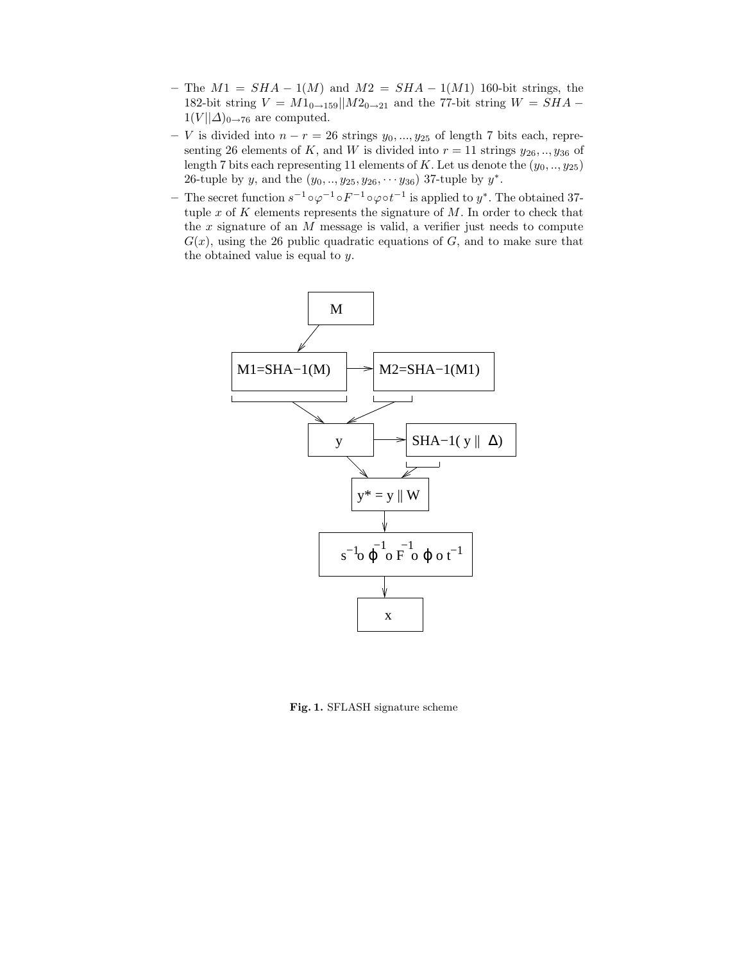- The  $M1 = SHA 1(M)$  and  $M2 = SHA 1(M1)$  160-bit strings, the 182-bit string  $V = M1_{0\rightarrow 159}||M2_{0\rightarrow 21}$  and the 77-bit string  $W = SHA 1(V||\Delta)_{0\rightarrow 76}$  are computed.
- V is divided into  $n r = 26$  strings  $y_0, ..., y_{25}$  of length 7 bits each, representing 26 elements of K, and W is divided into  $r = 11$  strings  $y_{26}, \ldots, y_{36}$  of length 7 bits each representing 11 elements of K. Let us denote the  $(y_0, ..., y_{25})$ 26-tuple by y, and the  $(y_0, ..., y_{25}, y_{26}, ..., y_{36})$  37-tuple by  $y^*$ .
- − The secret function  $s^{-1} \circ \varphi^{-1} \circ F^{-1} \circ \varphi \circ t^{-1}$  is applied to  $y^*$ . The obtained 37tuple x of K elements represents the signature of  $M$ . In order to check that the  $x$  signature of an  $M$  message is valid, a verifier just needs to compute  $G(x)$ , using the 26 public quadratic equations of G, and to make sure that the obtained value is equal to y.



Fig. 1. SFLASH signature scheme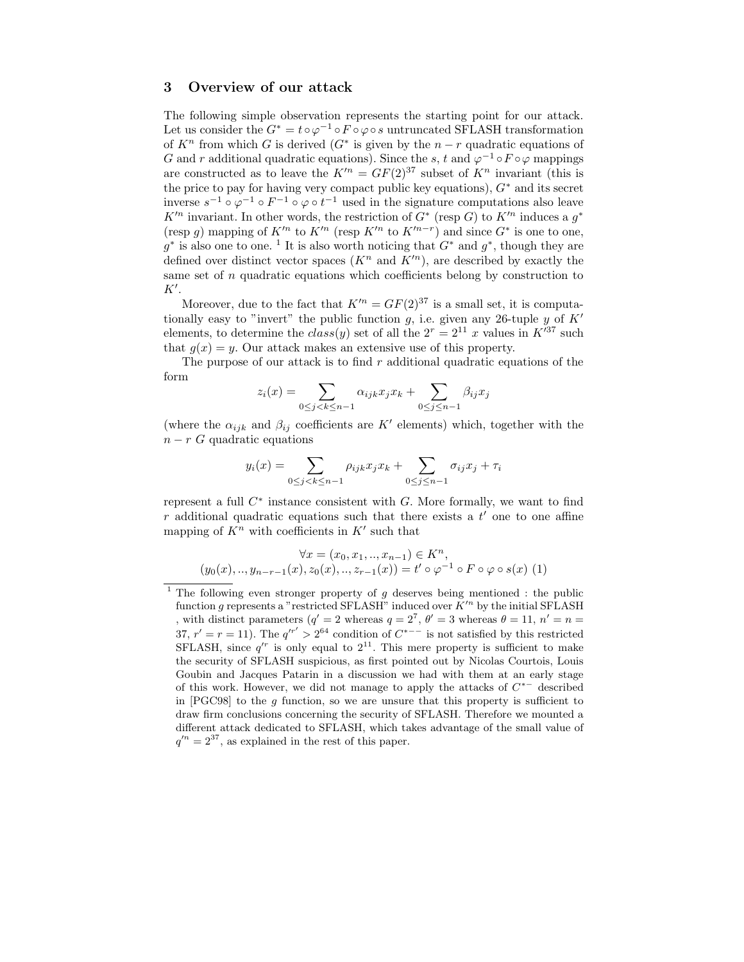## 3 Overview of our attack

The following simple observation represents the starting point for our attack. Let us consider the  $G^* = t \circ \varphi^{-1} \circ F \circ \varphi \circ s$  untruncated SFLASH transformation of  $K<sup>n</sup>$  from which G is derived  $(G<sup>*</sup>$  is given by the  $n-r$  quadratic equations of G and r additional quadratic equations). Since the s, t and  $\varphi^{-1} \circ F \circ \varphi$  mappings are constructed as to leave the  $K^n = GF(2)^{37}$  subset of  $K^n$  invariant (this is the price to pay for having very compact public key equations),  $G^*$  and its secret inverse  $s^{-1} \circ \varphi^{-1} \circ F^{-1} \circ \varphi \circ t^{-1}$  used in the signature computations also leave  $K'^n$  invariant. In other words, the restriction of  $G^*$  (resp G) to  $K'^n$  induces a  $g^*$ (resp g) mapping of  $K'^n$  to  $K'^n$  (resp  $K'^n$  to  $K'^{n-r}$ ) and since  $G^*$  is one to one,  $g^*$  is also one to one.<sup>1</sup> It is also worth noticing that  $G^*$  and  $g^*$ , though they are defined over distinct vector spaces  $(K^n \text{ and } K'^n)$ , are described by exactly the same set of n quadratic equations which coefficients belong by construction to  $K'.$ 

Moreover, due to the fact that  $K^{\prime n} = GF(2)^{37}$  is a small set, it is computationally easy to "invert" the public function g, i.e. given any 26-tuple y of  $K'$ elements, to determine the  $class(y)$  set of all the  $2^r = 2^{11} x$  values in  $K^{\prime 37}$  such that  $g(x) = y$ . Our attack makes an extensive use of this property.

The purpose of our attack is to find  $r$  additional quadratic equations of the form

$$
z_i(x) = \sum_{0 \le j < k \le n-1} \alpha_{ijk} x_j x_k + \sum_{0 \le j \le n-1} \beta_{ij} x_j
$$

(where the  $\alpha_{ijk}$  and  $\beta_{ij}$  coefficients are K' elements) which, together with the  $n - r$  G quadratic equations

$$
y_i(x) = \sum_{0 \le j < k \le n-1} \rho_{ijk} x_j x_k + \sum_{0 \le j \le n-1} \sigma_{ij} x_j + \tau_i
$$

represent a full  $C^*$  instance consistent with  $G$ . More formally, we want to find r additional quadratic equations such that there exists a  $t'$  one to one affine mapping of  $K^n$  with coefficients in  $K'$  such that

$$
\forall x = (x_0, x_1, ..., x_{n-1}) \in K^n,
$$
  

$$
(y_0(x), ..., y_{n-r-1}(x), z_0(x), ..., z_{r-1}(x)) = t' \circ \varphi^{-1} \circ F \circ \varphi \circ s(x)
$$
 (1)

<sup>&</sup>lt;sup>1</sup> The following even stronger property of  $g$  deserves being mentioned : the public function g represents a "restricted SFLASH" induced over  $K^{\prime n}$  by the initial SFLASH , with distinct parameters  $(q' = 2$  whereas  $q = 2^7$ ,  $\theta' = 3$  whereas  $\theta = 11$ ,  $n' = n =$ 37,  $r' = r = 11$ ). The  $q'^{r'} > 2^{64}$  condition of  $C^{*-}$  is not satisfied by this restricted SFLASH, since  $q^{r}$  is only equal to  $2^{11}$ . This mere property is sufficient to make the security of SFLASH suspicious, as first pointed out by Nicolas Courtois, Louis Goubin and Jacques Patarin in a discussion we had with them at an early stage of this work. However, we did not manage to apply the attacks of  $C^{*-}$  described in [PGC98] to the g function, so we are unsure that this property is sufficient to draw firm conclusions concerning the security of SFLASH. Therefore we mounted a different attack dedicated to SFLASH, which takes advantage of the small value of  $q'^n = 2^{37}$ , as explained in the rest of this paper.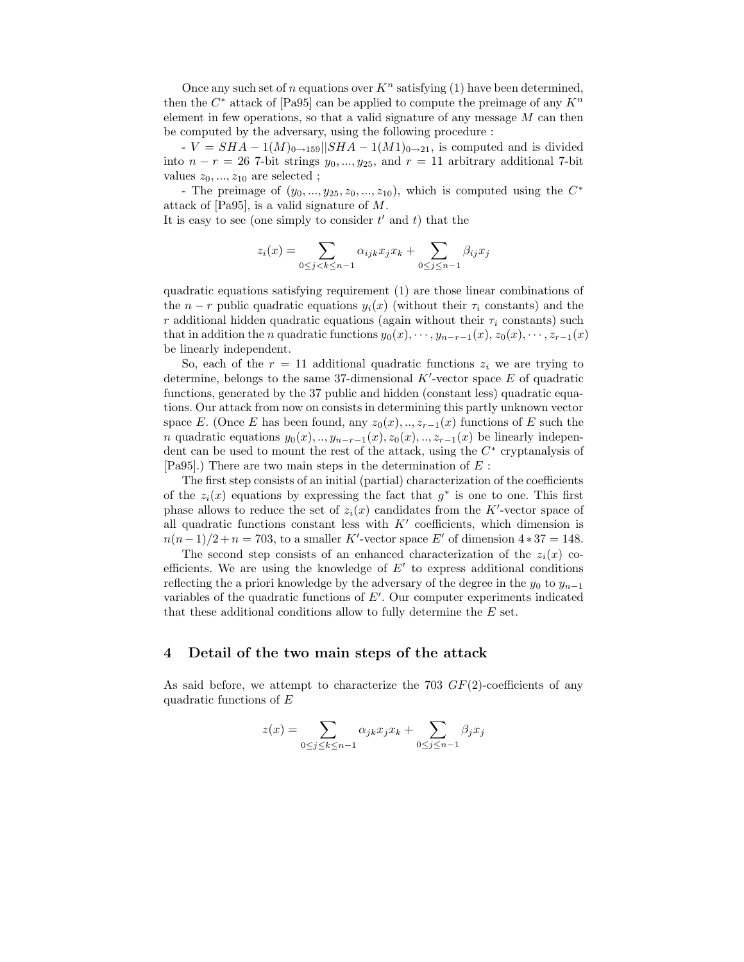Once any such set of n equations over  $K<sup>n</sup>$  satisfying (1) have been determined, then the  $C^*$  attack of [Pa95] can be applied to compute the preimage of any  $K^n$ element in few operations, so that a valid signature of any message  $M$  can then be computed by the adversary, using the following procedure :

 $-V = SHA - 1(M)_{0\rightarrow 159}||SHA - 1(M1)_{0\rightarrow 21}$ , is computed and is divided into  $n - r = 26$  7-bit strings  $y_0, ..., y_{25}$ , and  $r = 11$  arbitrary additional 7-bit values  $z_0, ..., z_{10}$  are selected;

- The preimage of  $(y_0, ..., y_{25}, z_0, ..., z_{10})$ , which is computed using the  $C^*$ attack of [Pa95], is a valid signature of M.

It is easy to see (one simply to consider  $t'$  and  $t$ ) that the

$$
z_i(x) = \sum_{0 \leq j < k \leq n-1} \alpha_{ijk} x_j x_k + \sum_{0 \leq j \leq n-1} \beta_{ij} x_j
$$

quadratic equations satisfying requirement (1) are those linear combinations of the  $n - r$  public quadratic equations  $y_i(x)$  (without their  $\tau_i$  constants) and the r additional hidden quadratic equations (again without their  $\tau_i$  constants) such that in addition the *n* quadratic functions  $y_0(x), \dots, y_{n-r-1}(x), z_0(x), \dots, z_{r-1}(x)$ be linearly independent.

So, each of the  $r = 11$  additional quadratic functions  $z_i$  we are trying to determine, belongs to the same 37-dimensional  $K'$ -vector space  $E$  of quadratic functions, generated by the 37 public and hidden (constant less) quadratic equations. Our attack from now on consists in determining this partly unknown vector space E. (Once E has been found, any  $z_0(x), \ldots, z_{r-1}(x)$  functions of E such the n quadratic equations  $y_0(x), \ldots, y_{n-r-1}(x), z_0(x), \ldots, z_{r-1}(x)$  be linearly independent can be used to mount the rest of the attack, using the  $C^*$  cryptanalysis of [Pa95].) There are two main steps in the determination of  $E$ :

The first step consists of an initial (partial) characterization of the coefficients of the  $z_i(x)$  equations by expressing the fact that  $g^*$  is one to one. This first phase allows to reduce the set of  $z_i(x)$  candidates from the K'-vector space of all quadratic functions constant less with  $K'$  coefficients, which dimension is  $n(n-1)/2 + n = 703$ , to a smaller K'-vector space E' of dimension  $4 * 37 = 148$ .

The second step consists of an enhanced characterization of the  $z_i(x)$  coefficients. We are using the knowledge of  $E'$  to express additional conditions reflecting the a priori knowledge by the adversary of the degree in the  $y_0$  to  $y_{n-1}$ variables of the quadratic functions of  $E'$ . Our computer experiments indicated that these additional conditions allow to fully determine the E set.

### 4 Detail of the two main steps of the attack

As said before, we attempt to characterize the 703  $GF(2)$ -coefficients of any quadratic functions of  $E$ 

$$
z(x) = \sum_{0 \le j \le k \le n-1} \alpha_{jk} x_j x_k + \sum_{0 \le j \le n-1} \beta_j x_j
$$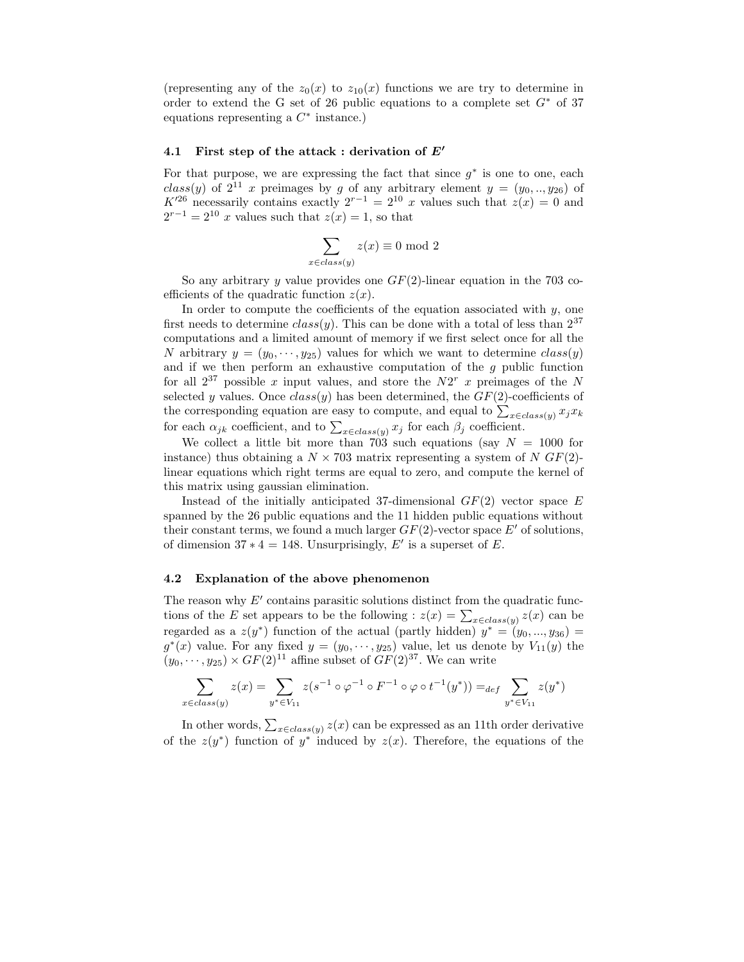(representing any of the  $z_0(x)$  to  $z_{10}(x)$  functions we are try to determine in order to extend the G set of 26 public equations to a complete set  $G^*$  of 37 equations representing a  $C^*$  instance.)

#### 4.1 First step of the attack : derivation of  $E'$

For that purpose, we are expressing the fact that since  $g^*$  is one to one, each  $class(y)$  of  $2^{11}$  x preimages by g of any arbitrary element  $y = (y_0, ..., y_{26})$  of  $K^{26}$  necessarily contains exactly  $2^{r-1} = 2^{10} x$  values such that  $z(x) = 0$  and  $2^{r-1} = 2^{10}$  x values such that  $z(x) = 1$ , so that

$$
\sum_{x \in class(y)} z(x) \equiv 0 \mod 2
$$

So any arbitrary y value provides one  $GF(2)$ -linear equation in the 703 coefficients of the quadratic function  $z(x)$ .

In order to compute the coefficients of the equation associated with  $y$ , one first needs to determine  $class(y)$ . This can be done with a total of less than  $2^{37}$ computations and a limited amount of memory if we first select once for all the N arbitrary  $y = (y_0, \dots, y_{25})$  values for which we want to determine  $class(y)$ and if we then perform an exhaustive computation of the  $g$  public function for all  $2^{37}$  possible x input values, and store the  $N2^{r}$  x preimages of the N selected y values. Once  $class(y)$  has been determined, the  $GF(2)$ -coefficients of the corresponding equation are easy to compute, and equal to  $\sum_{x \in class(y)} x_j x_k$ for each  $\alpha_{jk}$  coefficient, and to  $\sum_{x \in class(y)} x_j$  for each  $\beta_j$  coefficient.

We collect a little bit more than 703 such equations (say  $N = 1000$  for instance) thus obtaining a  $N \times 703$  matrix representing a system of N GF(2)linear equations which right terms are equal to zero, and compute the kernel of this matrix using gaussian elimination.

Instead of the initially anticipated 37-dimensional  $GF(2)$  vector space E spanned by the 26 public equations and the 11 hidden public equations without their constant terms, we found a much larger  $GF(2)$ -vector space E' of solutions, of dimension  $37 * 4 = 148$ . Unsurprisingly, E' is a superset of E.

#### 4.2 Explanation of the above phenomenon

The reason why  $E'$  contains parasitic solutions distinct from the quadratic functions of the E set appears to be the following :  $z(x) = \sum_{x \in class(y)} z(x)$  can be regarded as a  $z(y^*)$  function of the actual (partly hidden)  $y^* = (y_0, ..., y_{36}) =$  $g^*(x)$  value. For any fixed  $y = (y_0, \dots, y_{25})$  value, let us denote by  $V_{11}(y)$  the  $(y_0, \dots, y_{25}) \times GF(2)^{11}$  affine subset of  $GF(2)^{37}$ . We can write

$$
\sum_{x \in class(y)} z(x) = \sum_{y^* \in V_{11}} z(s^{-1} \circ \varphi^{-1} \circ F^{-1} \circ \varphi \circ t^{-1}(y^*)) =_{def} \sum_{y^* \in V_{11}} z(y^*)
$$

In other words,  $\sum_{x \in class(y)} z(x)$  can be expressed as an 11th order derivative of the  $z(y^*)$  function of  $y^*$  induced by  $z(x)$ . Therefore, the equations of the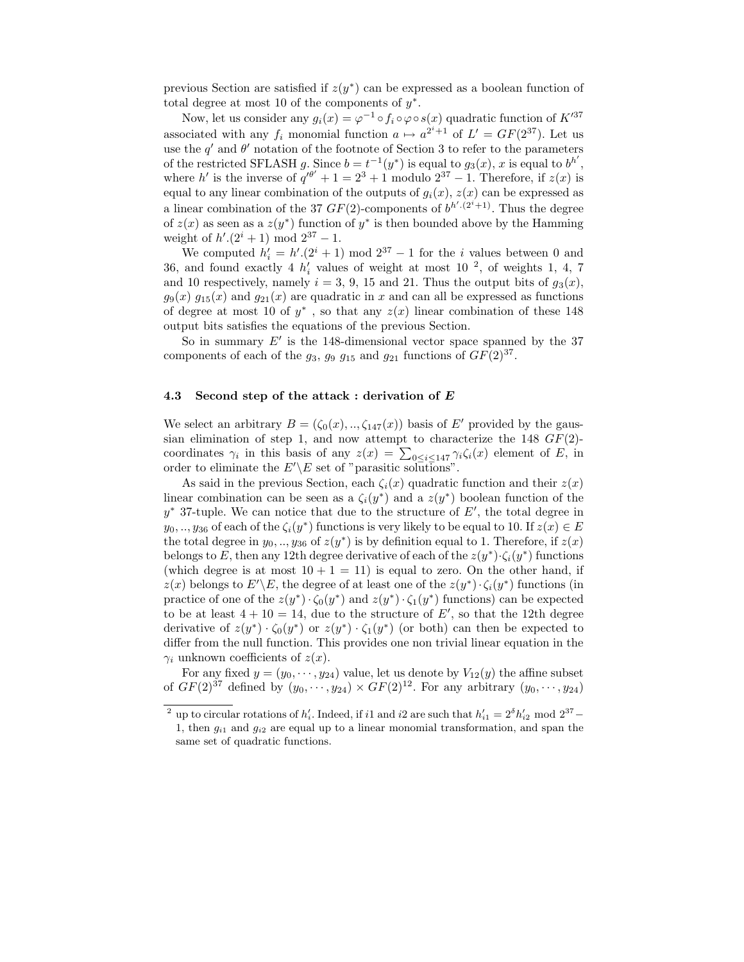previous Section are satisfied if  $z(y^*)$  can be expressed as a boolean function of total degree at most 10 of the components of  $y^*$ .

Now, let us consider any  $g_i(x) = \varphi^{-1} \circ f_i \circ \varphi \circ s(x)$  quadratic function of  $K'^{37}$ associated with any  $f_i$  monomial function  $a \mapsto a^{2^i+1}$  of  $L' = GF(2^{37})$ . Let us use the q' and  $\theta'$  notation of the footnote of Section 3 to refer to the parameters of the restricted SFLASH g. Since  $b = t^{-1}(y^*)$  is equal to  $g_3(x)$ , x is equal to  $b^{h'}$ , where h' is the inverse of  $q^{i\theta'} + 1 = 2^3 + 1$  modulo  $2^{37} - 1$ . Therefore, if  $z(x)$  is equal to any linear combination of the outputs of  $g_i(x)$ ,  $z(x)$  can be expressed as a linear combination of the 37  $GF(2)$ -components of  $b^{h' \cdot (2^i+1)}$ . Thus the degree of  $z(x)$  as seen as a  $z(y^*)$  function of  $y^*$  is then bounded above by the Hamming weight of  $h'(2^i + 1) \text{ mod } 2^{37} - 1$ .

We computed  $h'_i = h' \cdot (2^i + 1) \mod 2^{37} - 1$  for the *i* values between 0 and 36, and found exactly 4  $h'_i$  values of weight at most 10<sup>2</sup>, of weights 1, 4, 7 and 10 respectively, namely  $i = 3, 9, 15$  and 21. Thus the output bits of  $g_3(x)$ ,  $g_9(x)$   $g_{15}(x)$  and  $g_{21}(x)$  are quadratic in x and can all be expressed as functions of degree at most 10 of  $y^*$ , so that any  $z(x)$  linear combination of these 148 output bits satisfies the equations of the previous Section.

So in summary  $E'$  is the 148-dimensional vector space spanned by the 37 components of each of the  $g_3$ ,  $g_9$   $g_{15}$  and  $g_{21}$  functions of  $GF(2)^{37}$ .

#### 4.3 Second step of the attack : derivation of E

We select an arbitrary  $B = (\zeta_0(x), \ldots, \zeta_{147}(x))$  basis of E' provided by the gaussian elimination of step 1, and now attempt to characterize the 148  $GF(2)$ coordinates  $\gamma_i$  in this basis of any  $z(x) = \sum_{0 \leq i \leq 147} \gamma_i \zeta_i(x)$  element of E, in order to eliminate the  $E'\E$  set of "parasitic solutions".

As said in the previous Section, each  $\zeta_i(x)$  quadratic function and their  $z(x)$ linear combination can be seen as a  $\zeta_i(y^*)$  and a  $z(y^*)$  boolean function of the  $y^*$  37-tuple. We can notice that due to the structure of  $E'$ , the total degree in  $y_0, \ldots, y_{36}$  of each of the  $\zeta_i(y^*)$  functions is very likely to be equal to 10. If  $z(x) \in E$ the total degree in  $y_0, \ldots, y_{36}$  of  $z(y^*)$  is by definition equal to 1. Therefore, if  $z(x)$ belongs to E, then any 12th degree derivative of each of the  $z(y^*)\cdot \zeta_i(y^*)$  functions (which degree is at most  $10 + 1 = 11$ ) is equal to zero. On the other hand, if  $z(x)$  belongs to  $E'\backslash E$ , the degree of at least one of the  $z(y^*)\cdot \zeta_i(y^*)$  functions (in practice of one of the  $z(y^*) \cdot \zeta_0(y^*)$  and  $z(y^*) \cdot \zeta_1(y^*)$  functions) can be expected to be at least  $4 + 10 = 14$ , due to the structure of E', so that the 12th degree derivative of  $z(y^*) \cdot \zeta_0(y^*)$  or  $z(y^*) \cdot \zeta_1(y^*)$  (or both) can then be expected to differ from the null function. This provides one non trivial linear equation in the  $\gamma_i$  unknown coefficients of  $z(x)$ .

For any fixed  $y = (y_0, \dots, y_{24})$  value, let us denote by  $V_{12}(y)$  the affine subset of  $GF(2)^{37}$  defined by  $(y_0, \dots, y_{24}) \times GF(2)^{12}$ . For any arbitrary  $(y_0, \dots, y_{24})$ 

<sup>&</sup>lt;sup>2</sup> up to circular rotations of  $h'_i$ . Indeed, if i1 and i2 are such that  $h'_{i1} = 2^{\delta} h'_{i2}$  mod  $2^{37}$  – 1, then  $g_{i1}$  and  $g_{i2}$  are equal up to a linear monomial transformation, and span the same set of quadratic functions.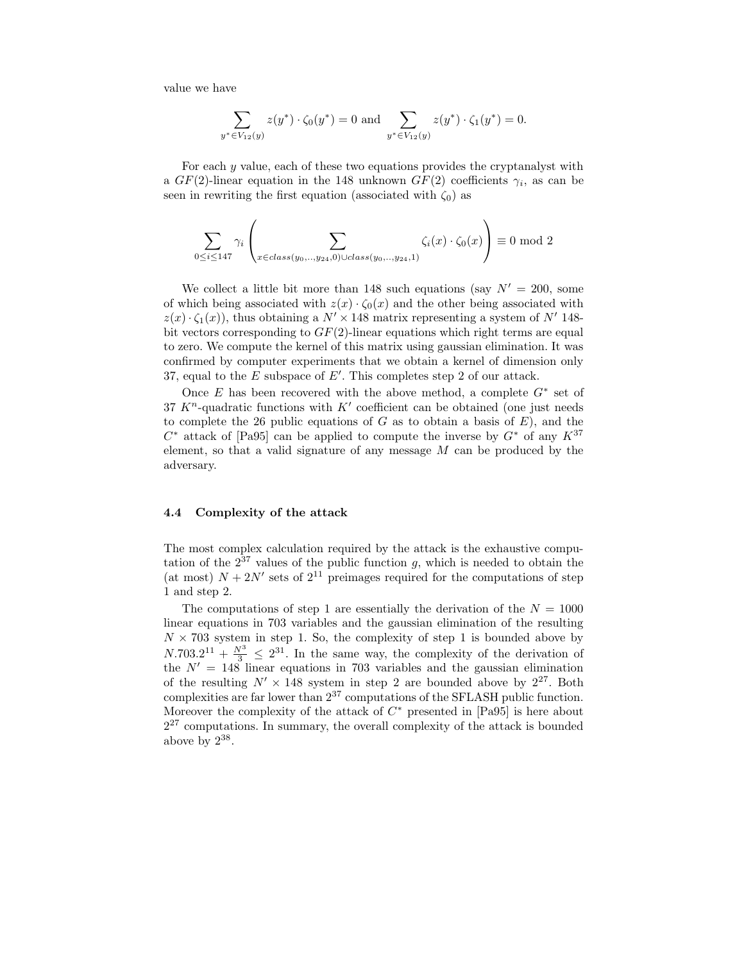value we have

$$
\sum_{y^* \in V_{12}(y)} z(y^*) \cdot \zeta_0(y^*) = 0 \text{ and } \sum_{y^* \in V_{12}(y)} z(y^*) \cdot \zeta_1(y^*) = 0.
$$

For each y value, each of these two equations provides the cryptanalyst with a  $GF(2)$ -linear equation in the 148 unknown  $GF(2)$  coefficients  $\gamma_i$ , as can be seen in rewriting the first equation (associated with  $\zeta_0$ ) as

$$
\sum_{0 \le i \le 147} \gamma_i \left( \sum_{x \in class(y_0, \dots, y_{24}, 0) \cup class(y_0, \dots, y_{24}, 1)} \zeta_i(x) \cdot \zeta_0(x) \right) \equiv 0 \mod 2
$$

We collect a little bit more than 148 such equations (say  $N' = 200$ , some of which being associated with  $z(x) \cdot \zeta_0(x)$  and the other being associated with  $z(x) \cdot \zeta_1(x)$ , thus obtaining a  $N' \times 148$  matrix representing a system of N' 148bit vectors corresponding to  $GF(2)$ -linear equations which right terms are equal to zero. We compute the kernel of this matrix using gaussian elimination. It was confirmed by computer experiments that we obtain a kernel of dimension only 37, equal to the  $E$  subspace of  $E'$ . This completes step 2 of our attack.

Once  $E$  has been recovered with the above method, a complete  $G^*$  set of 37  $K<sup>n</sup>$ -quadratic functions with  $K<sup>'</sup>$  coefficient can be obtained (one just needs to complete the 26 public equations of  $G$  as to obtain a basis of  $E$ ), and the  $C^*$  attack of [Pa95] can be applied to compute the inverse by  $G^*$  of any  $K^{37}$ element, so that a valid signature of any message  $M$  can be produced by the adversary.

#### 4.4 Complexity of the attack

The most complex calculation required by the attack is the exhaustive computation of the  $2^{37}$  values of the public function g, which is needed to obtain the (at most)  $N + 2N'$  sets of  $2^{11}$  preimages required for the computations of step 1 and step 2.

The computations of step 1 are essentially the derivation of the  $N = 1000$ linear equations in 703 variables and the gaussian elimination of the resulting  $N \times 703$  system in step 1. So, the complexity of step 1 is bounded above by  $N.703.2^{11} + \frac{N^3}{3} \leq 2^{31}$ . In the same way, the complexity of the derivation of the  $N' = 148$  linear equations in 703 variables and the gaussian elimination of the resulting  $N' \times 148$  system in step 2 are bounded above by  $2^{27}$ . Both complexities are far lower than 2 <sup>37</sup> computations of the SFLASH public function. Moreover the complexity of the attack of  $C^*$  presented in [Pa95] is here about  $2^{27}$  computations. In summary, the overall complexity of the attack is bounded above by  $2^{38}$ .